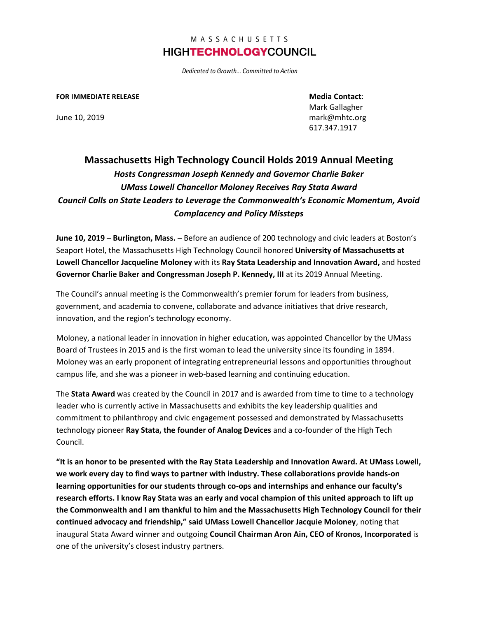Dedicated to Growth... Committed to Action

#### **FOR IMMEDIATE RELEASE Media Contact**:

Mark Gallagher June 10, 2019 mark@mhtc.org 617.347.1917

# **Massachusetts High Technology Council Holds 2019 Annual Meeting** *Hosts Congressman Joseph Kennedy and Governor Charlie Baker UMass Lowell Chancellor Moloney Receives Ray Stata Award Council Calls on State Leaders to Leverage the Commonwealth's Economic Momentum, Avoid Complacency and Policy Missteps*

**June 10, 2019 – Burlington, Mass. –** Before an audience of 200 technology and civic leaders at Boston's Seaport Hotel, the Massachusetts High Technology Council honored **University of Massachusetts at Lowell Chancellor Jacqueline Moloney** with its **Ray Stata Leadership and Innovation Award,** and hosted **Governor Charlie Baker and Congressman Joseph P. Kennedy, III** at its 2019 Annual Meeting.

The Council's annual meeting is the Commonwealth's premier forum for leaders from business, government, and academia to convene, collaborate and advance initiatives that drive research, innovation, and the region's technology economy.

Moloney, a national leader in innovation in higher education, was appointed Chancellor by the UMass Board of Trustees in 2015 and is the first woman to lead the university since its founding in 1894. Moloney was an early proponent of integrating entrepreneurial lessons and opportunities throughout campus life, and she was a pioneer in web-based learning and continuing education.

The **Stata Award** was created by the Council in 2017 and is awarded from time to time to a technology leader who is currently active in Massachusetts and exhibits the key leadership qualities and commitment to philanthropy and civic engagement possessed and demonstrated by Massachusetts technology pioneer **Ray Stata, the founder of Analog Devices** and a co-founder of the High Tech Council.

**"It is an honor to be presented with the Ray Stata Leadership and Innovation Award. At UMass Lowell, we work every day to find ways to partner with industry. These collaborations provide hands-on learning opportunities for our students through co-ops and internships and enhance our faculty's research efforts. I know Ray Stata was an early and vocal champion of this united approach to lift up the Commonwealth and I am thankful to him and the Massachusetts High Technology Council for their continued advocacy and friendship," said UMass Lowell Chancellor Jacquie Moloney**, noting that inaugural Stata Award winner and outgoing **Council Chairman Aron Ain, CEO of Kronos, Incorporated** is one of the university's closest industry partners.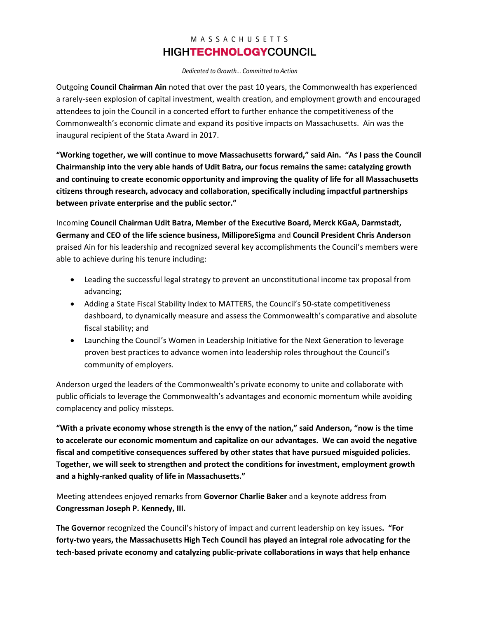Dedicated to Growth... Committed to Action

Outgoing **Council Chairman Ain** noted that over the past 10 years, the Commonwealth has experienced a rarely-seen explosion of capital investment, wealth creation, and employment growth and encouraged attendees to join the Council in a concerted effort to further enhance the competitiveness of the Commonwealth's economic climate and expand its positive impacts on Massachusetts. Ain was the inaugural recipient of the Stata Award in 2017.

**"Working together, we will continue to move Massachusetts forward," said Ain. "As I pass the Council Chairmanship into the very able hands of Udit Batra, our focus remains the same: catalyzing growth and continuing to create economic opportunity and improving the quality of life for all Massachusetts citizens through research, advocacy and collaboration, specifically including impactful partnerships between private enterprise and the public sector."**

Incoming **Council Chairman Udit Batra, Member of the Executive Board, Merck KGaA, Darmstadt, Germany and CEO of the life science business, MilliporeSigma** and **Council President Chris Anderson** praised Ain for his leadership and recognized several key accomplishments the Council's members were able to achieve during his tenure including:

- Leading the successful legal strategy to prevent an unconstitutional income tax proposal from advancing;
- Adding a State Fiscal Stability Index to MATTERS, the Council's 50-state competitiveness dashboard, to dynamically measure and assess the Commonwealth's comparative and absolute fiscal stability; and
- Launching the Council's Women in Leadership Initiative for the Next Generation to leverage proven best practices to advance women into leadership roles throughout the Council's community of employers.

Anderson urged the leaders of the Commonwealth's private economy to unite and collaborate with public officials to leverage the Commonwealth's advantages and economic momentum while avoiding complacency and policy missteps.

**"With a private economy whose strength is the envy of the nation," said Anderson, "now is the time to accelerate our economic momentum and capitalize on our advantages. We can avoid the negative fiscal and competitive consequences suffered by other states that have pursued misguided policies. Together, we will seek to strengthen and protect the conditions for investment, employment growth and a highly-ranked quality of life in Massachusetts."**

Meeting attendees enjoyed remarks from **Governor Charlie Baker** and a keynote address from **Congressman Joseph P. Kennedy, III.**

**The Governor** recognized the Council's history of impact and current leadership on key issues**. "For forty-two years, the Massachusetts High Tech Council has played an integral role advocating for the tech-based private economy and catalyzing public-private collaborations in ways that help enhance**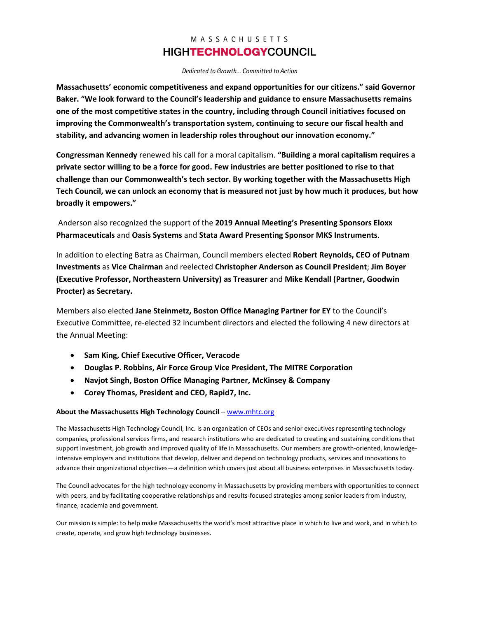Dedicated to Growth... Committed to Action

**Massachusetts' economic competitiveness and expand opportunities for our citizens." said Governor Baker. "We look forward to the Council's leadership and guidance to ensure Massachusetts remains one of the most competitive states in the country, including through Council initiatives focused on improving the Commonwealth's transportation system, continuing to secure our fiscal health and stability, and advancing women in leadership roles throughout our innovation economy."** 

**Congressman Kennedy** renewed his call for a moral capitalism. **"Building a moral capitalism requires a private sector willing to be a force for good. Few industries are better positioned to rise to that challenge than our Commonwealth's tech sector. By working together with the Massachusetts High Tech Council, we can unlock an economy that is measured not just by how much it produces, but how broadly it empowers."**

Anderson also recognized the support of the **2019 Annual Meeting's Presenting Sponsors Eloxx Pharmaceuticals** and **Oasis Systems** and **Stata Award Presenting Sponsor MKS Instruments**.

In addition to electing Batra as Chairman, Council members elected **Robert Reynolds, CEO of Putnam Investments** as **Vice Chairman** and reelected **Christopher Anderson as Council President**; **Jim Boyer (Executive Professor, Northeastern University) as Treasurer** and **Mike Kendall (Partner, Goodwin Procter) as Secretary.**

Members also elected **Jane Steinmetz, Boston Office Managing Partner for EY** to the Council's Executive Committee, re-elected 32 incumbent directors and elected the following 4 new directors at the Annual Meeting:

- **Sam King, Chief Executive Officer, Veracode**
- **Douglas P. Robbins, Air Force Group Vice President, The MITRE Corporation**
- **Navjot Singh, Boston Office Managing Partner, McKinsey & Company**
- **Corey Thomas, President and CEO, Rapid7, Inc.**

#### **About the Massachusetts High Technology Council** – [www.mhtc.org](http://www.mhtc.org/)

The Massachusetts High Technology Council, Inc. is an organization of CEOs and senior executives representing technology companies, professional services firms, and research institutions who are dedicated to creating and sustaining conditions that support investment, job growth and improved quality of life in Massachusetts. Our members are growth-oriented, knowledgeintensive employers and institutions that develop, deliver and depend on technology products, services and innovations to advance their organizational objectives—a definition which covers just about all business enterprises in Massachusetts today.

The Council advocates for the high technology economy in Massachusetts by providing members with opportunities to connect with peers, and by facilitating cooperative relationships and results-focused strategies among senior leaders from industry, finance, academia and government.

Our mission is simple: to help make Massachusetts the world's most attractive place in which to live and work, and in which to create, operate, and grow high technology businesses.